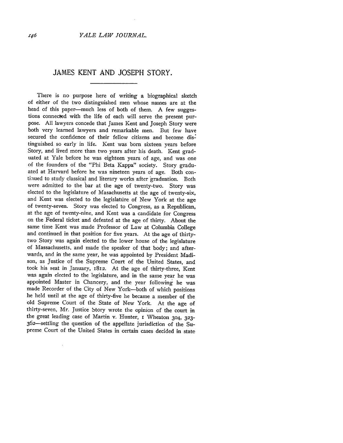## **JAMES KENT AND JOSEPH** STORY.

There is no purpose here of writing a biographical sketch of either of the two distinguished men whose names are at the head of this paper---much less of both of them. A few suggestions connected with the life of each will serve the present purpose. All lawyers concede that James Kent and Joseph Story were both very learned lawyers and remarkable men. But few have secured the confidence of their fellow citizens and become distinguished so early in life. Kent was born sixteen years before Story, and lived more than two years after his death. Kent graduated at Yale before he was eighteen years of age, and was one of the founders of the "Phi Beta Kappa" society. Story graduated at Harvard before he was nineteen years of age. Both continued to study classical and literary works after graduation. Both were admitted to the bar at the age of twenty-two. Story was elected to the legislature of Masachusetts at the age of twenty-six, and Kent was elected to the legislature of New York at the age of twenty-seven. Story was elected to Congress, as a Republican, at the age of twenty-nine, and Kent was a candidate for Congress on the Federal ticket and defeated at the age of thirty. About the same time Kent was made Professor of Law at Columbia College and continued in that position for five years. At the age of thirtytwo Story was again elected to the lower house of the legislature of Massachusetts, and made the speaker of that body; and afterwards, and in the same year, he was appointed by President Madison, as Justice of the Supreme Court of the United States, and took his seat in January, 1812. At the age of thirty-three, Kent was again elected to the legislature, and in the same year he was appointed Master in Chancery, and the year following he was made Recorder of the City of New York-both of which positions he held until at the age of thirty-five he became a member of the old Supreme Court of the State of New York. At the age of thirty-seven, Mr. Justice Story wrote the opinion of the court in the great leading case of Martin v. Hunter, i Wheaton 304, **323-** 362-settling the question of the appellate jurisdiction of the Supreme Court of the United States in certain cases decided in state

à.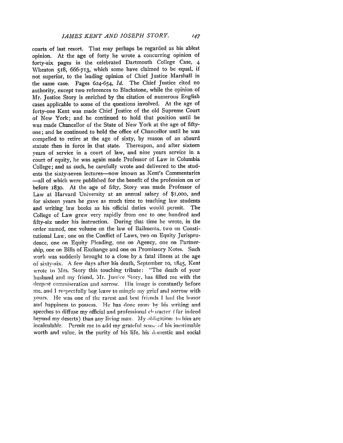$147$ 

courts of last resort. That may perhaps be regarded as his ablest opinion. At the age of forty he wrote a concurring opinion of forty-six pages in the celebrated Dartmouth College Case, 4 Wheaton 518, 666-713, which some have claimed to be equal, if not superior, to the leading opinion of Chief Justice Marshall in the same case. Pages 624-654, *Id.* The Chief Justice cited no authority, except two references to Blackstone, while the opinion of Mr. Justice Story is enriched by the citation of numerous English cases applicable to some of the questions involved. At the age of forty-one Kent was made Chief Justice of the old Supreme Court of New York; and he continued to hold that position until he was made Chancellor of the State of New York at the age of fiftyone; and he continued to hold the office of Chancellor until he was compelled to retire at the age of sixty, by reason of an absurd statute then in force in that state. Thereupon, and after sixteen years of service in a court of law, and nine years service in a court of equity, he was again made Professor of Law in Columbia College; and as such, he carefully wrote and delivered to the students the sixty-seven lectures-now known as Kent's Commentaries -all of which were published for the benefit of the profession on or before 1830. At the age of fifty, Story was made Professor of Law at Harvard University at an annual salary of \$i,ooo, and for sixteen years he gave as much time to teaching law students and writing law books as his official duties would permit. The College of Law grew very rapidly from one to one hundred and fifty-six under his instruction. During that time he wrote, in the order named, one volume on the law of Bailments, two on Constitutional Law, one on the Conflict of Laws, two on Equity Jurisprudence, one on Equity Pleading, one on Agency, one on Partnership, one on Bills of Exchange and one on Promissory Notes. Such work was suddenly brought to a close by a fatal illness at the age of sixty-six. A few (lays after his death, September IO, 1845, Kent wrote to Mrs. Story this touching tribute: "The death of your husband and my friend, Mr. Justice Story, has filled me with the deep:est co:nmniseration and sorrow. i **Is** image is constantly before me, and I respectfully beg leave to mingle my grief and sorrow with yours. He was one of the rarest and best friends I had the honor and happiness to possess. He has done more by his writing and speeches to diffuse my official and professional churacter (far indeed beyond my deserts) than any living man. My oligiation, to him are incalculable. Permit me to add my grateful sense of his inestimable worth and value, in the purity of his life, his domestic and social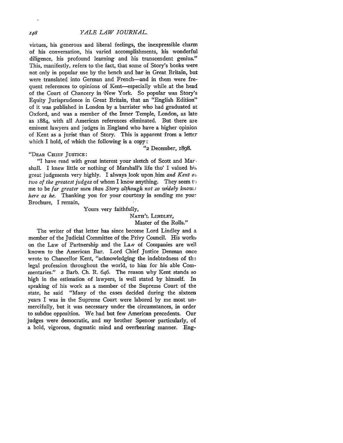*YALE LAW JOURNAL.*

virtues, his generous and liberal feelings, the inexpressible charm of his conversation, his varied accomplishments, his wonderful diligence, his profound learning and his transcendent genius." This, manifestly, refers to the fact, that some of Story's books were not only in popular use by the bench and bar in Great Britain, but were translated into German and French-and in them were frequent references to opinions of Kent-especially while at the head of the Court of Chancery in 'New York. So popular was Story's Equity Jurisprudence in Great Britain, that an "English Edition" of it was published in London by a barrister who had graduated at Oxford, and was a member of the Inner Temple, London, as late as 1884, with all American references eliminated. But there are eminent lawyers and judges in England who have a higher opinion of Kent as a jurist than of Story. This is apparent from a letter which I hold, of which the following is a copy:

## "DEAR CHIEF JUSTICE:

"2 December, 1898.

"I have read with great interest your sketch of Scott and Marshall. I knew little or nothing of Marshall's life tho' I valued his great judgments very highly. I always look upon.him *and Kent o! two of the greatest judges* of whom I know anything. They seem *t';* me to be *far greater men than Story although not so widely know,; here as he.* Thanking you for your courtesy in sending me you-Brochure, I remain,

## Yours very faithfully,

## **NATH'L** LINDLEY, Master of the Rolls."

The writer of that letter has since become Lord Lindley and a member of the Judicial Committee of the Privy Council. His works on the Law of Partnership and the Lax of Companies are well known to the American Bar. Lord Chief Justice Denman once wrote to Chancellor Kent, "acknowledging the indebtedness of th: legal profession throughout the world, to him for his able Commentaries." 2 Barb. Ch. R. 646. The reason why Kent stands so high in the estimation of lawyers, is well stated by himself. In speaking of his work as a member of the Supreme Court of the state, he said "Many of the cases decided during the sixteen years I was in the Supreme Court were labored by me most unmercifully, but it was necessary under the circumstances, in order to subdue opposition. We had but few American precedents. Our judges were democratic, and my brother Spencer particularly, of a bold, vigorous, dogmatic mind and overbearing manner. Eng-

148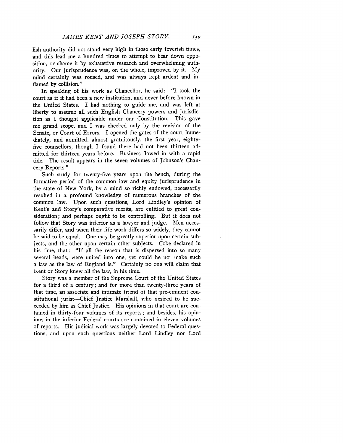**149** 

lish authority did not stand very high in those early feverish times, and this lead me a hundred times to attempt to bear down opposition, or shame it by exhaustive research and overwhelming authority. Our jurisprudence was, on the whole, improved by it. **'My** mind certainly was roused, and was always kept ardent and inflamed by collision."

In speaking of his work as Chancellor, he said: "I took the court as if it had been a new institution, and never before known in the United States. I bad nothing to guide me, and was left at liberty to assume all such English Chancery powers and jurisdiction as I thought applicable under our Constitution. This gave me grand scope, and I was checked only by the revision of the Senate, or Court of Errors. I opened the gates of the court immediately, and admitted, almost gratuitously, the first year, eightyfive counsellors, though I found there had not been thirteen admitted for thirteen years before. Business flowed in with a rapid tide. The result appears in the seven volumes of Johnson's Chancery Reports."

Such study for twenty-five years upon the bench, during the formative period of the common law and equity jurisprudence in the state of New York, by a mind so richly endowed, necessarily resulted in a profound knowledge of numerous branches of the common law. Upon such questions, Lord Lindley's opinion of Kent's and Story's comparative merits, are entitled to great consideration; and perhaps ought to be controlling. But it does not follow that Story was inferior as a lawyer and judge. Men necessarily differ, and when their life work differs so widely, they cannot be said to be equal. One may be greatly superior upon certain subjects, and the other upon certain other subjects. Coke declared in his time, that: "If all the reason that is dispersed into so many several heads, were united into one, yet could he not make such a law as the law of England is." Certainly no one will claim that Kent or Story knew all the law, in his time.

Story was a member of the Supreme Court of the United States for a third of a century; and for more than twenty-three years of that time, an associate and intimate friend of that pre-eminent constitutional jurist-Chief Justice Marshall, who desired to be succeeded by him as Chief Justice. His opinions in that court are contained in thirty-four volumes of its reports; and besides, his opinions in the inferior Federal courts are contained in eleven volumes of reports. His judicial work was largely devoted to Federal questions, and upon such questions neither Lord Lindley nor Lord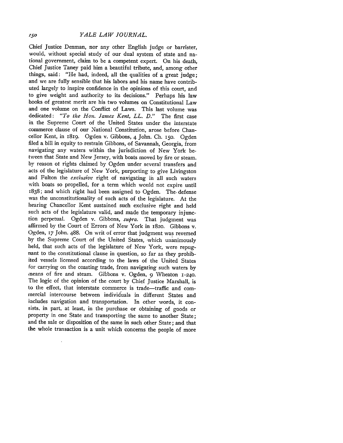Chief Justice Denman, nor any other English **judge** or barrister, would, without special study of our dual system of state and national government, claim to be a competent expert. On his death, Chief Justice Taney paid him a beautiful tribute, and, among other things, said: "He had, indeed, all the qualities of a great judge; and we are fully sensible that his labors and his name have contributed largely to inspire confidence in the opinions of this court, and to give weight and authority to its decisions." Perhaps his law books of greatest merit are his two volumes on Constitutional Law and one volume on the Conflict of Laws. This last volume was dedicated: *"To the Hon. James Kent, LL.* **D."** The first case in the Supreme Court of the United States under the interstate commerce clause of our National Constitution, arose before Chancellor Kent, in **18i9.** Ogden v. Gibbons, 4 John. Ch. 15O. Ogden filed a bill in equity to restrain Gibbons, of Savannah, Georgia, from navigating any waters within the jurisdiction of New York between that State and New Jersey, with boats moved by fire or steam. by reason ot rights claimed by Ogden under several transfers and acts of the legislature of New York, purporting to give Livingston and Fulton the *exclusive* right of navigating in all such waters with boats so propelled, for a term which would not expire until 1838; and which right had been assigned to Ogden. The. defense was the unconstitutionality of such acts of the legislature. At the hearing Chancellor Kent sustained such exclusive right and held such acts of the legislature valid, and made the temporary injunction perpetual. Ogden v. Gibbons, *supra.* That judgment was affirmed by the Court of Errors of New York in 182o. Gibbons v. Ogden, 17 John. 488. On writ of error that judgment was reversed by the Supreme Court of the United States, which unanimously held, that such acts of the legislature of New York, were repugnant to the constitutional clause in question, so far as they prohibited vessels licensed according to the laws of the United States for carrying on the coasting trade, from navigating such waters by ineans of fire and steam. Gibbons v. Ogden, 9 Wheaton i-24o. The logic of the opinion of the court by Chief Justice Marshall, is to the effect, that interstate commerce is trade-traffic and commercial intercourse between individuals in different States and includes navigation and transportation. In other words, it consists, in part, at least, in the purchase or obtaining of goods or property in one State and transporting the same to another State; and the sale or disposition of the same in such other State; and that the whole transaction is a unit which concerns the people of more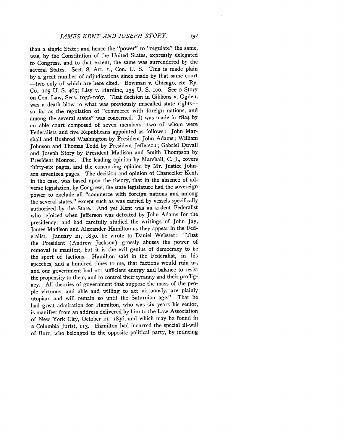than a single State; and hence the "power" to "regulate" the same, was, by the Constitution of the United States, expressly delegated to Congress, and to that extent, the same was surrendered by the several States. Sect. 8, Art. i., Con. U. S. This is made plain by a great number of adjudications since made by that same court -two only of which are here cited. Bowman v. Chicago, etc. Ry. Co., **125 U. S.** 465; Lisy v. Hardine, **135 U.** S. ioo. See 2 Story on Con. Law, Secs. I056-io67. That decision in Gibbons v. Ogden, was a death blow to what was previously miscalled state rights-so far as the regulation of "commerce with foreign nations, and among the several states" was concerned. It was made in **1824** by an able court composed of seven members-two of whom were Federalists and five Republicans appointed as follows: John Marshall and Bushrod Washington by President John Adams; William Johnson and Thomas Todd by President Jefferson; Gabriel Duvall and Joseph Story by President Madison and Smith Thompson by President Monroe. The leading opinion by Marshall, C. J., covers thirty-six pages, and the concurring opinion by Mr. Justice Johnson seventeen pages. The decision and opinion of Chancellor Kent, in the case, was based upon the theory, that in the absence of adverse legislation, by Congress, the state legislature had the sovereign power to exclude all "commerce with foreign nations and among the several states," except such as was carried by vessels specifically authorized by the State. And yet Kent was an ardent Federalist who rejoiced when Jefferson was defeated by John Adams for the presidency; and had carefully studied the writings of John Jay, James Madison and Alexander Hamilton as they appear in the Federalist. January **21,** 1830, he wrote to Daniel Webster: "That the President (Andrew Jackson) grossly abuses the power of removal is manifest, but it is the evil genius of democracy to be the sport of factions. Hamilton said in the Federalist, in his speeches, and a hundred times to me, that factions would ruin us, and our government had not sufficient energy and balance to resist the propensity to them, and to control their tyranny and their profligacy. All theories of government that suppose the mass of the people virtuous, and able and willing to act virtuously, are plainly utopian, and will remain so until the Saturnian age." That he had great admiration for Hamilton, who was six years his senior, is manifest from an address delivered by him to the Law Association of New York City, October **2T,** 1836, and which may be found in 2 Columbia Jurist, **113.** Hamilton had incurred the special ill-will of Burr, who belonged to the opposite political party, by inducing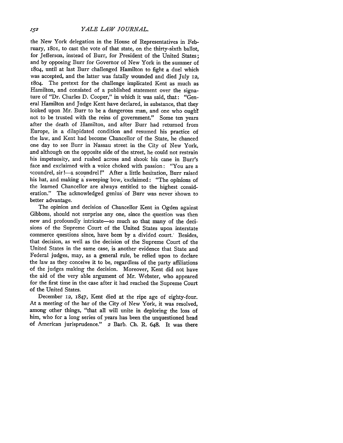the New York delegation in the House of Representatives in February, 1801, to cast the vote of that state, on the thirty-sixth ballot, for Jefferson, instead of Burr, for President of the United States; and by opposing Burr for Governor of New York in the summer of **18o4,** until at last Burr challenged Hamilton to fight a duel which was accepted, and the latter was fatally wounded and died July **12,** 18o4. The pretext for the challenge implicated Kent as much as Hamilton, and consisted of a published statement over the signature of "Dr. Charles D. Cooper," in which it was said, that: "General Hamilton and Judge Kent have declared, in substance, that they looked upon Mr. Burr to be a dangerous man, and one who ought not to be trusted with the reins of government." Some ten years after the death of Hamilton, and after Burr had returned from Europe, in a dilapidated condition and resumed his practice of the law, and Kent had become Chancellor of the State, he chanced one day to see Burr in Nassau street in the City of New York, and although on the opposite side of the street, he could not restrain his impetuosity, and rushed across and shook his cane in Burr's face and exclaimed with a voice choked with passion: "You are a scoundrel, sir !- a scoundrel !" After a little hesitation, Burr raised his hat, and making a sweeping bow, exclaimed: "The opinions of the learned Chancellor are always entitled to the highest consideration." The acknowledged genius of Burr was never shown to better advantage.

The opinion and decision of Chancellor Kent in Ogden against Gibbons, should not surprise any one, since the question was then new and profoundly intricate-so much so that many of the decisions of the Supreme Court of the United States upon interstate commerce questions since, have been by a divided court: Besides, that decision, as well as the decision of the Supreme Court of the United States in the same case, is another evidence that State and Federal judges, may, as a general rule, be relied upon to declare the law as they conceive it to be, regardless of the party affiliations of the judges making the decision. Moreover, Kent did not have the aid of the very able argument of Mr. Webster, who appeared for the first time in the case after it had reached the Supreme Court of the United States.

December 12, 1847, Kent died at the ripe age of eighty-four. At a meeting of the bar of the City .of New York, it was resolved, among other things, "that all will unite in deploring the loss of him, who for a long series of years has been the unquestioned head of American jurisprudence." 2 Barb. Ch. R. 648. It was there